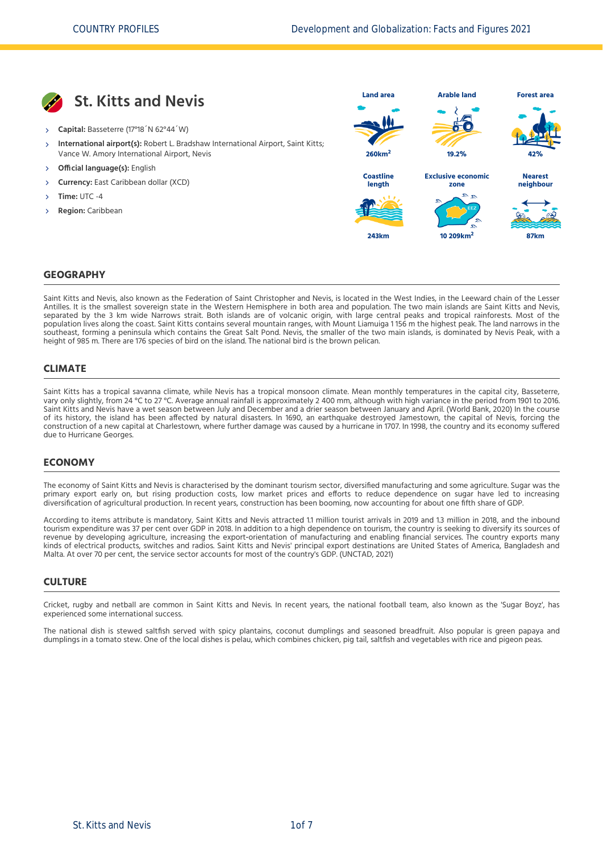

- **Capital:** Basseterre (17°18´N 62°44´W)
- **International airport(s):** Robert L. Bradshaw International Airport, Saint Kitts; Vance W. Amory International Airport, Nevis X,
- **Official language(s):** English
- **Currency:** East Caribbean dollar (XCD)
- **Time:** UTC -4
- **Region:** Caribbean



#### **GEOGRAPHY**

Saint Kitts and Nevis, also known as the Federation of Saint Christopher and Nevis, is located in the West Indies, in the Leeward chain of the Lesser Antilles. It is the smallest sovereign state in the Western Hemisphere in both area and population. The two main islands are Saint Kitts and Nevis, separated by the 3 km wide Narrows strait. Both islands are of volcanic origin, with large central peaks and tropical rainforests. Most of the population lives along the coast. Saint Kitts contains several mountain ranges, with Mount Liamuiga 1 156 m the highest peak. The land narrows in the southeast, forming a peninsula which contains the Great Salt Pond. Nevis, the smaller of the two main islands, is dominated by Nevis Peak, with a height of 985 m. There are 176 species of bird on the island. The national bird is the brown pelican.

#### **CLIMATE**

Saint Kitts has a tropical savanna climate, while Nevis has a tropical monsoon climate. Mean monthly temperatures in the capital city, Basseterre, vary only slightly, from 24 °C to 27 °C. Average annual rainfall is approximately 2 400 mm, although with high variance in the period from 1901 to 2016. Saint Kitts and Nevis have a wet season between July and December and a drier season between January and April. [\(World Bank, 2020\)](#page-6-0) In the course of its history, the island has been affected by natural disasters. In 1690, an earthquake destroyed Jamestown, the capital of Nevis, forcing the construction of a new capital at Charlestown, where further damage was caused by a hurricane in 1707. In 1998, the country and its economy suffered due to Hurricane Georges.

#### **ECONOMY**

The economy of Saint Kitts and Nevis is characterised by the dominant tourism sector, diversified manufacturing and some agriculture. Sugar was the primary export early on, but rising production costs, low market prices and efforts to reduce dependence on sugar have led to increasing diversification of agricultural production. In recent years, construction has been booming, now accounting for about one fifth share of GDP.

According to items attribute is mandatory, Saint Kitts and Nevis attracted 1.1 million tourist arrivals in 2019 and 1.3 million in 2018, and the inbound tourism expenditure was 37 per cent over GDP in 2018. In addition to a high dependence on tourism, the country is seeking to diversify its sources of revenue by developing agriculture, increasing the export-orientation of manufacturing and enabling financial services. The country exports many kinds of electrical products, switches and radios. Saint Kitts and Nevis' principal export destinations are United States of America, Bangladesh and Malta. At over 70 per cent, the service sector accounts for most of the country's GDP. [\(UNCTAD, 2021\)](#page-6-1)

#### **CULTURE**

Cricket, rugby and netball are common in Saint Kitts and Nevis. In recent years, the national football team, also known as the 'Sugar Boyz', has experienced some international success.

The national dish is stewed saltfish served with spicy plantains, coconut dumplings and seasoned breadfruit. Also popular is green papaya and dumplings in a tomato stew. One of the local dishes is pelau, which combines chicken, pig tail, saltfish and vegetables with rice and pigeon peas.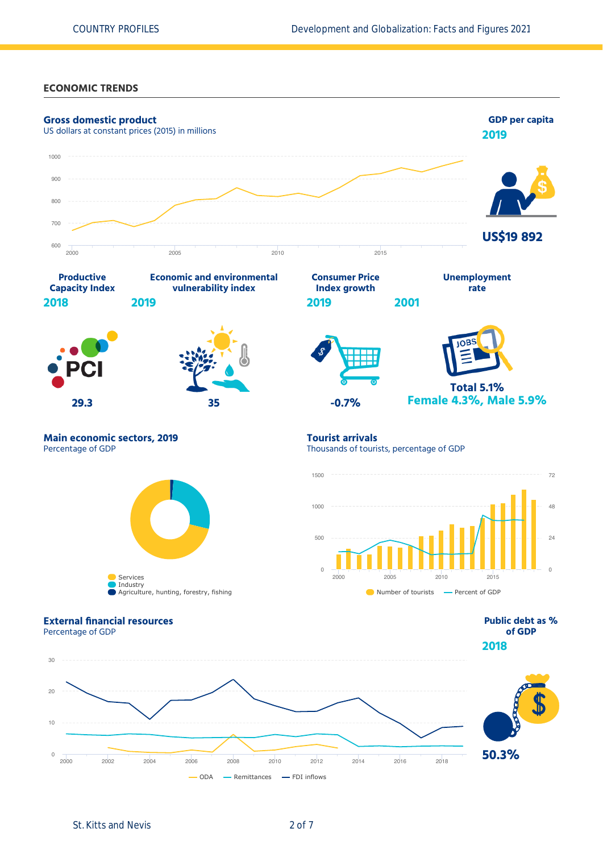**ECONOMIC TRENDS**

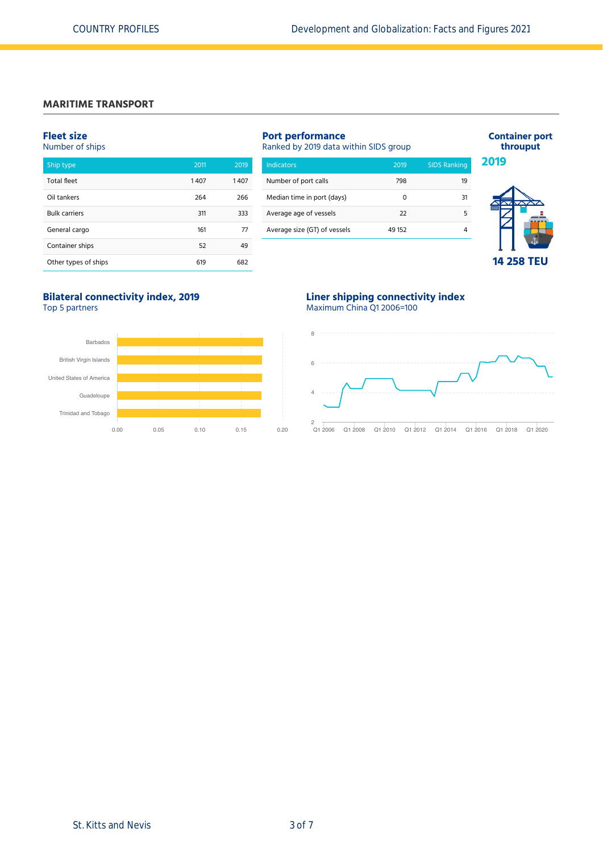# **MARITIME TRANSPORT**

#### **Fleet size**

# Number of ships

| <b>Total fleet</b>   | 1407 | 1407 |
|----------------------|------|------|
| Oil tankers          | 264  | 266  |
| <b>Bulk carriers</b> | 311  | 333  |
| General cargo        | 161  | 77   |
| Container ships      | 52   | 49   |
| Other types of ships | 619  | 682  |

| <b>Port performance</b><br>Ranked by 2019 data within SIDS group |        |                     |  |  |  |
|------------------------------------------------------------------|--------|---------------------|--|--|--|
| Indicators                                                       | 2019   | <b>SIDS Ranking</b> |  |  |  |
| Number of port calls                                             | 798    | 19                  |  |  |  |
| Median time in port (days)                                       | n      | 31                  |  |  |  |
| Average age of vessels                                           | 22     | 5                   |  |  |  |
| Average size (GT) of vessels                                     | 49 152 |                     |  |  |  |
|                                                                  |        |                     |  |  |  |



**Container port throuput**

# **14 258 TEU**

# **Bilateral connectivity index, 2019**

Top 5 partners



#### **Liner shipping connectivity index** Maximum China Q1 2006=100

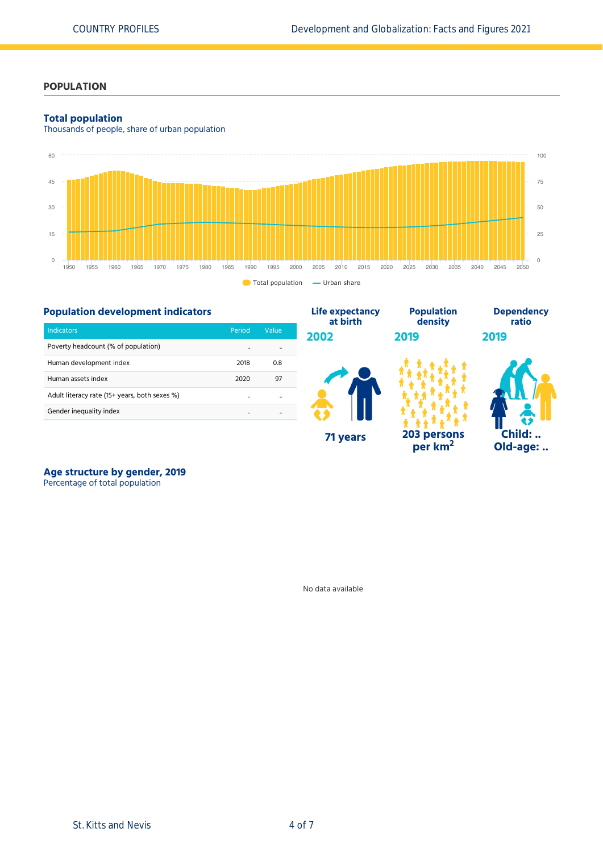# **POPULATION**

### **Total population**

Thousands of people, share of urban population



## **Population development indicators**

|                                               |                      |         | at birth | density   |
|-----------------------------------------------|----------------------|---------|----------|-----------|
| Indicators                                    | Period               | Value   | 2002     | 2019      |
| Poverty headcount (% of population)           |                      | ٠.      |          |           |
| Human development index                       | 2018                 | 0.8     |          |           |
| Human assets index                            | 2020                 | 97      |          |           |
| Adult literacy rate (15+ years, both sexes %) |                      | ٠.      |          |           |
| Gender inequality index                       | $\ddot{\phantom{a}}$ | $\cdot$ |          |           |
|                                               |                      |         | 71 years | 203 perso |

**203 persons per km<sup>2</sup>**

**Population**



**Dependency ratio**

**2019**

Å Ä

# **Age structure by gender, 2019**

Percentage of total population

No data available

**Life expectancy**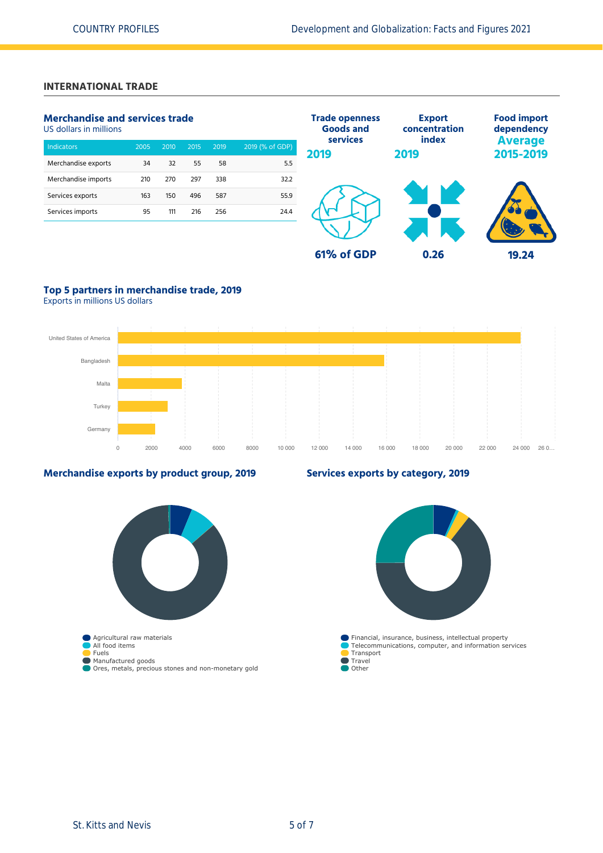# **INTERNATIONAL TRADE**

# **Merchandise and services trade**

US dollars in millions

| <b>Indicators</b>   | 2005 | 2010 | 2015 | 2019 | 2019 (% of GDP) |
|---------------------|------|------|------|------|-----------------|
| Merchandise exports | 34   | 32   | 55   | 58   | 5.5             |
| Merchandise imports | 210  | 270  | 297  | 338  | 32.2            |
| Services exports    | 163  | 150  | 496  | 587  | 55.9            |
| Services imports    | 95   | 111  | 216  | 256  | 24.4            |
|                     |      |      |      |      |                 |



# **Top 5 partners in merchandise trade, 2019**

Exports in millions US dollars



### **Merchandise exports by product group, 2019**

# **Agricultural raw materials** All food items Fuels Manufactured goods Ores, metals, precious stones and non-monetary gold

## **Services exports by category, 2019**

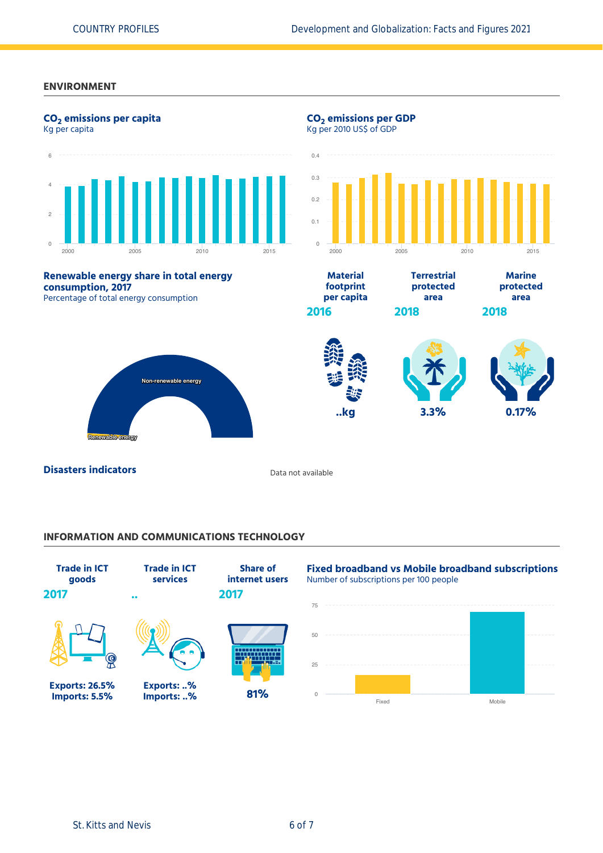#### **ENVIRONMENT**



### **INFORMATION AND COMMUNICATIONS TECHNOLOGY**